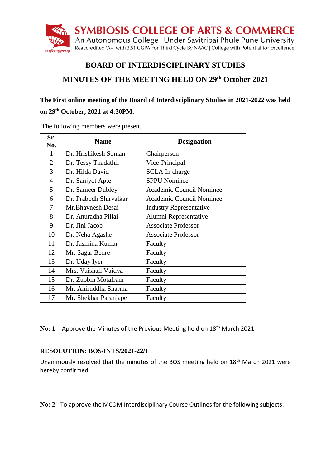

# **BOARD OF INTERDISCIPLINARY STUDIES**

# **MINUTES OF THE MEETING HELD ON 29th October 2021**

# **The First online meeting of the Board of Interdisciplinary Studies in 2021-2022 was held on 29th October, 2021 at 4:30PM.**

| Sr.<br>No.     | <b>Name</b>            | <b>Designation</b>             |
|----------------|------------------------|--------------------------------|
| 1              | Dr. Hrishikesh Soman   | Chairperson                    |
| 2              | Dr. Tessy Thadathil    | Vice-Principal                 |
| 3              | Dr. Hilda David        | SCLA In charge                 |
| $\overline{4}$ | Dr. Sanjyot Apte       | <b>SPPU Nominee</b>            |
| 5              | Dr. Sameer Dubley      | Academic Council Nominee       |
| 6              | Dr. Prabodh Shirvalkar | Academic Council Nominee       |
| 7              | Mr.Bhavnesh Desai      | <b>Industry Representative</b> |
| 8              | Dr. Anuradha Pillai    | Alumni Representative          |
| 9              | Dr. Jini Jacob         | <b>Associate Professor</b>     |
| 10             | Dr. Neha Agashe        | <b>Associate Professor</b>     |
| 11             | Dr. Jasmina Kumar      | Faculty                        |
| 12             | Mr. Sagar Bedre        | Faculty                        |
| 13             | Dr. Uday Iyer          | Faculty                        |
| 14             | Mrs. Vaishali Vaidya   | Faculty                        |
| 15             | Dr. Zubbin Motafram    | Faculty                        |
| 16             | Mr. Aniruddha Sharma   | Faculty                        |
| 17             | Mr. Shekhar Paranjape  | Faculty                        |

The following members were present:

**No: 1** – Approve the Minutes of the Previous Meeting held on 18<sup>th</sup> March 2021

#### **RESOLUTION: BOS/INTS/2021-22/1**

Unanimously resolved that the minutes of the BOS meeting held on 18<sup>th</sup> March 2021 were hereby confirmed.

**No: 2 –**To approve the MCOM Interdisciplinary Course Outlines for the following subjects: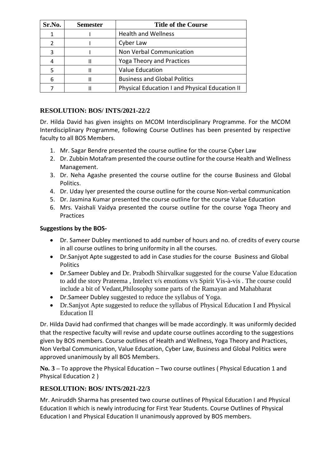| Sr.No.        | <b>Semester</b> | <b>Title of the Course</b>                     |
|---------------|-----------------|------------------------------------------------|
| 1             |                 | <b>Health and Wellness</b>                     |
| $\mathcal{P}$ |                 | Cyber Law                                      |
| 3             |                 | Non Verbal Communication                       |
| 4             | Ш               | Yoga Theory and Practices                      |
|               | Ш               | <b>Value Education</b>                         |
| 6             | Ш               | <b>Business and Global Politics</b>            |
|               | Ш               | Physical Education I and Physical Education II |

### **RESOLUTION: BOS/ INTS/2021-22/2**

Dr. Hilda David has given insights on MCOM Interdisciplinary Programme. For the MCOM Interdisciplinary Programme, following Course Outlines has been presented by respective faculty to all BOS Members.

- 1. Mr. Sagar Bendre presented the course outline for the course Cyber Law
- 2. Dr. Zubbin Motafram presented the course outline for the course Health and Wellness Management.
- 3. Dr. Neha Agashe presented the course outline for the course Business and Global Politics.
- 4. Dr. Uday Iyer presented the course outline for the course Non-verbal communication
- 5. Dr. Jasmina Kumar presented the course outline for the course Value Education
- 6. Mrs. Vaishali Vaidya presented the course outline for the course Yoga Theory and Practices

#### **Suggestions by the BOS-**

- Dr. Sameer Dubley mentioned to add number of hours and no. of credits of every course in all course outlines to bring uniformity in all the courses.
- Dr.Sanjyot Apte suggested to add in Case studies for the course Business and Global **Politics**
- Dr.Sameer Dubley and Dr. Prabodh Shirvalkar suggested for the course Value Education to add the story Prateema , Intelect v/s emotions v/s Spirit Vis-à-vis . The course could include a bit of Vedant,Philosophy some parts of the Ramayan and Mahabharat
- Dr.Sameer Dubley suggested to reduce the syllabus of Yoga.
- Dr.Sanjyot Apte suggested to reduce the syllabus of Physical Education I and Physical Education II

Dr. Hilda David had confirmed that changes will be made accordingly. It was uniformly decided that the respective faculty will revise and update course outlines according to the suggestions given by BOS members. Course outlines of Health and Wellness, Yoga Theory and Practices, Non Verbal Communication, Value Education, Cyber Law, Business and Global Politics were approved unanimously by all BOS Members.

**No. 3 –** To approve the Physical Education – Two course outlines ( Physical Education 1 and Physical Education 2 )

#### **RESOLUTION: BOS/ INTS/2021-22/3**

Mr. Aniruddh Sharma has presented two course outlines of Physical Education I and Physical Education II which is newly introducing for First Year Students. Course Outlines of Physical Education I and Physical Education II unanimously approved by BOS members.